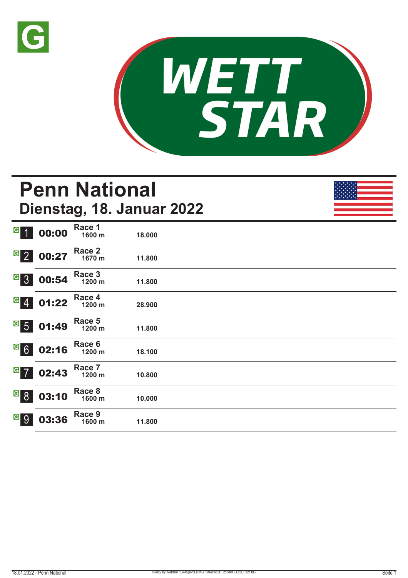



# **Penn National Dienstag, 18. Januar 2022**

| $\overline{G}$<br>$\overline{1}$ | 00:00 | Race 1<br>1600 m | 18.000 |  |
|----------------------------------|-------|------------------|--------|--|
| $\overline{G}$ 2                 | 00:27 | Race 2<br>1670 m | 11.800 |  |
| G <sub>3</sub>                   | 00:54 | Race 3<br>1200 m | 11.800 |  |
| $G$ 4                            | 01:22 | Race 4<br>1200 m | 28.900 |  |
| $\frac{G}{5}$                    | 01:49 | Race 5<br>1200 m | 11.800 |  |
| $G$ 6                            | 02:16 | Race 6<br>1200 m | 18.100 |  |
| $G$ 7                            | 02:43 | Race 7<br>1200 m | 10.800 |  |
| $\overline{G}$<br>8              | 03:10 | Race 8<br>1600 m | 10.000 |  |
| $\vert G \vert$<br>9             | 03:36 | Race 9<br>1600 m | 11.800 |  |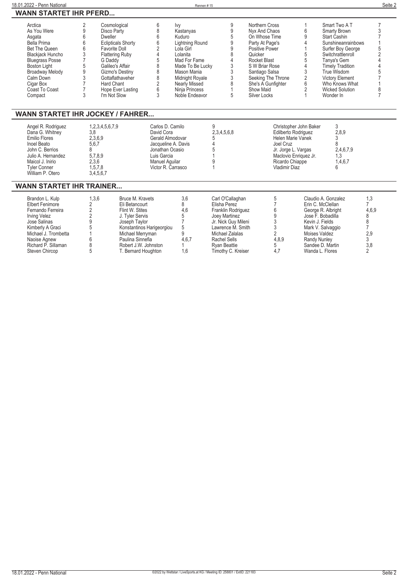| 18.01.2022 - Penn National                                                                                                                                                                                                           |                                                                                                      |                                                                                                                                                                                                                                                       |                                                                                                                                                     | Rennen#15                                                                                                                                                                                                       |                                                                                                                                                                                                            |                                                                                                                                                                                                                                      |                                                                               |                                                                                                                                                                                                                                                           | Seite 2                                                                                         |
|--------------------------------------------------------------------------------------------------------------------------------------------------------------------------------------------------------------------------------------|------------------------------------------------------------------------------------------------------|-------------------------------------------------------------------------------------------------------------------------------------------------------------------------------------------------------------------------------------------------------|-----------------------------------------------------------------------------------------------------------------------------------------------------|-----------------------------------------------------------------------------------------------------------------------------------------------------------------------------------------------------------------|------------------------------------------------------------------------------------------------------------------------------------------------------------------------------------------------------------|--------------------------------------------------------------------------------------------------------------------------------------------------------------------------------------------------------------------------------------|-------------------------------------------------------------------------------|-----------------------------------------------------------------------------------------------------------------------------------------------------------------------------------------------------------------------------------------------------------|-------------------------------------------------------------------------------------------------|
| <b>WANN STARTET IHR PFERD</b>                                                                                                                                                                                                        |                                                                                                      |                                                                                                                                                                                                                                                       |                                                                                                                                                     |                                                                                                                                                                                                                 |                                                                                                                                                                                                            |                                                                                                                                                                                                                                      |                                                                               |                                                                                                                                                                                                                                                           |                                                                                                 |
| Arctica<br>As You Were<br>Asgata<br>Bella Prima<br><b>Bet The Queen</b><br><b>Blackjack Huncho</b><br><b>Bluegrass Posse</b><br><b>Boston Light</b><br><b>Broadway Melody</b><br>Calm Down<br>Cigar Box<br>Coast To Coast<br>Compact | 2<br>9<br>6<br>6<br>6<br>3<br>$\overline{7}$<br>5<br>9<br>3<br>$\overline{7}$<br>$\overline{7}$<br>3 | Cosmological<br>Disco Party<br>Dweller<br><b>Eclipticals Shorty</b><br><b>Favorite Doll</b><br><b>Flattering Ruby</b><br>G Daddy<br>Galileo's Affair<br>Gizmo's Destiny<br>Gottaflathaveher<br><b>Hard Chant</b><br>Hope Ever Lasting<br>I'm Not Slow | 6<br>8<br>6<br>6<br>2<br>5<br>8<br>8<br>8<br>2<br>6<br>3                                                                                            | Ivy<br>Kastanyas<br>Kuduro<br><b>Lightning Round</b><br>Lola Girl<br>Lolanita<br>Mad For Fame<br>Made To Be Lucky<br>Mason Mania<br>Midnight Royale<br><b>Nearly Missed</b><br>Ninja Princess<br>Noble Endeavor | 9<br>$9\,$<br>5<br>9<br>9<br>8<br>$\overline{4}$<br>3<br>3<br>3<br>8<br>$\mathbf{1}$<br>5                                                                                                                  | Northern Cross<br>Nyx And Chaos<br>On Whose Time<br>Party At Page's<br>Positive Power<br>Quicker<br>Rocket Blast<br>S W Briar Rose<br>Santiago Salsa<br>Seeking The Throne<br>She's A Gunfighter<br>Show Maid<br><b>Silver Locks</b> | 1<br>6<br>9<br>4<br>5<br>5<br>4<br>3<br>$\overline{2}$<br>6<br>$\overline{2}$ | Smart Two A T<br>Smarty Brown<br>Start Cashin<br>Sunshineanrainbows<br>Surfer Boy George<br>Switchrattlenroll<br>Tanya's Gem<br><b>Timely Tradition</b><br>True Wisdom<br><b>Victory Element</b><br>Who Knows What<br><b>Wicked Solution</b><br>Wonder In | $\overline{7}$<br>3<br>$\overline{2}$<br>8<br>$\overline{7}$                                    |
| <b>WANN STARTET IHR JOCKEY / FAHRER</b>                                                                                                                                                                                              |                                                                                                      |                                                                                                                                                                                                                                                       |                                                                                                                                                     |                                                                                                                                                                                                                 |                                                                                                                                                                                                            |                                                                                                                                                                                                                                      |                                                                               |                                                                                                                                                                                                                                                           |                                                                                                 |
| Angel R. Rodriguez<br>Dana G. Whitney<br><b>Emilio Flores</b><br>Inoel Beato<br>John C. Berrios<br>Julio A. Hernandez<br>Maicol J. Inirio<br><b>Tyler Conner</b><br>William P. Otero                                                 | 3.8<br>2,3,6,9<br>5,6,7<br>8<br>5,7,8,9<br>2,3,6<br>1,5,7,8<br>3,4,5,6,7                             | 1,2,3,4,5,6,7,9                                                                                                                                                                                                                                       | Carlos D. Camilo<br>David Cora<br>Gerald Almodovar<br>Jacqueline A. Davis<br>Jonathan Ocasio<br>Luis Garcia<br>Manuel Aquilar<br>Victor R. Carrasco |                                                                                                                                                                                                                 | 9<br>2,3,4,5,6,8<br>5<br>$\Lambda$<br>5<br>g                                                                                                                                                               | Edilberto Rodriguez<br>Helen Marie Vanek<br>Joel Cruz<br>Jr. Jorge L. Vargas<br>Ricardo Chiappe<br>Vladimir Diaz                                                                                                                     | Christopher John Baker<br>Maclovio Enriquez Jr.                               | 3<br>2,8,9<br>3<br>8<br>2,4,6,7,9<br>1.3<br>1,4,6,7<br>6                                                                                                                                                                                                  |                                                                                                 |
| <b>WANN STARTET IHR TRAINER</b>                                                                                                                                                                                                      |                                                                                                      |                                                                                                                                                                                                                                                       |                                                                                                                                                     |                                                                                                                                                                                                                 |                                                                                                                                                                                                            |                                                                                                                                                                                                                                      |                                                                               |                                                                                                                                                                                                                                                           |                                                                                                 |
| Brandon L. Kulp<br><b>Elbert Fenimore</b><br>Fernando Ferreira<br><b>Irving Velez</b><br>Jose Salinas<br>Kimberly A Graci<br>Michael J. Trombetta<br>Naoise Agnew<br>Richard P. Sillaman<br>Steven Chircop                           | 1,3,6<br>2<br>$\overline{2}$<br>$\overline{q}$<br>8<br>5                                             | Bruce M. Kravets<br>Eli Betancourt<br>Flint W. Stites<br>J. Tyler Servis<br>Joseph Taylor<br>Michael Merryman<br>Paulina Sinnefia<br>Robert J.W. Johnston<br>T. Bernard Houghton                                                                      | Konstantinos Harigeorgiou                                                                                                                           | 3,6<br>8<br>4,6<br>5<br>$\overline{7}$<br>5<br>q<br>4,6,7<br>1.6                                                                                                                                                | Carl O'Callaghan<br>Elisha Perez<br>Franklin Rodriguez<br>Joey Martinez<br>Jr. Nick Guy Mileni<br>Lawrence M. Smith<br><b>Michael Zalalas</b><br>Rachel Sells<br><b>Ryan Beattie</b><br>Timothy C. Kreiser | 5<br>$\overline{7}$<br>6<br>9<br>3<br>$\ensuremath{\mathsf{3}}$<br>$\overline{2}$<br>4,8,9<br>5<br>4.7                                                                                                                               | <b>Randy Nunley</b>                                                           | Claudio A. Gonzalez<br>Erin C. McClellan<br>George R. Albright<br>Jose F. Bobadilla<br>Kevin J. Fields<br>Mark V. Salvaggio<br><b>Moises Valdez</b><br>Sandee D. Martin<br>Wanda L. Flores                                                                | 1,3<br>$\overline{7}$<br>4,6,9<br>8<br>8<br>$\overline{7}$<br>2,9<br>3<br>3,8<br>$\overline{2}$ |

 $\overline{a}$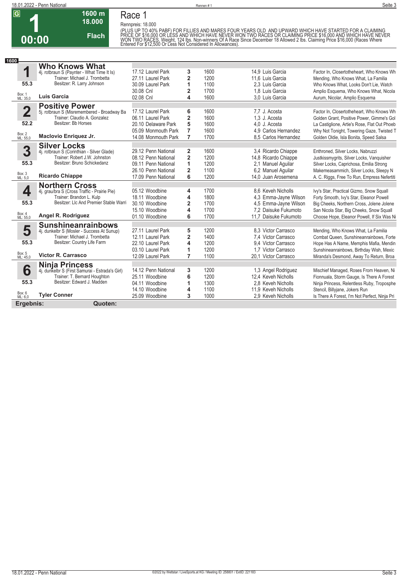

## **Race 1**

**1600 m 18.000** 

**Flach**

**Rennpreis: 18.000**

**00:00**

(PLUS UP TO 40% PABF) FOR FILLIES AND MARES FOUR YEARS OLD. AND UPWARD WHICH HAVE STARTED FOR A CLAIMING<br>PRICE OF \$16,000 OR LESS AND WHICH HAVE NEVER WON TWO RACES OR CLAIMING PRICE \$16,000 AND WHICH HAVE NEVER<br>WON TWO RA

| 1600                    |                                                                             |                     |                         |      |                       |                                               |
|-------------------------|-----------------------------------------------------------------------------|---------------------|-------------------------|------|-----------------------|-----------------------------------------------|
|                         | <b>Who Knows What</b>                                                       |                     |                         |      |                       |                                               |
| 1                       | 4j. rotbraun S (Paynter - What Time It Is)                                  | 17.12 Laurel Park   | 3                       | 1600 | 14.9 Luis Garcia      | Factor In, Closertotheheart, Who Knows Wh     |
|                         | Trainer: Michael J. Trombetta                                               | 27.11 Laurel Park   | $\overline{2}$          | 1200 | 11.6 Luis Garcia      | Mending, Who Knows What, La Familia           |
| 55.3                    | Besitzer: R. Larry Johnson                                                  | 30.09 Laurel Park   | 1                       | 1100 | 2.3 Luis Garcia       | Who Knows What, Looks Don't Lie, Watch        |
|                         |                                                                             | 30.08 Cnl           | $\overline{2}$          | 1700 | 1.8 Luis Garcia       | Amplio Esquema, Who Knows What, Nicola        |
| Box: 1<br>ML: 35,0      | <b>Luis Garcia</b>                                                          | 02.08 Cnl           | 4                       | 1600 | 3.0 Luis Garcia       | Aurum, Nicolar, Amplio Esquema                |
|                         | <b>Positive Power</b>                                                       |                     |                         |      |                       |                                               |
| $\overline{\mathbf{2}}$ |                                                                             | 17.12 Laurel Park   | 6                       | 1600 | 7.7 J. Acosta         | Factor In, Closertotheheart, Who Knows Wh     |
|                         | 5j. rotbraun S (Misremembered - Broadway Ba<br>Trainer: Claudio A. Gonzalez | 06.11 Laurel Park   | 2                       | 1600 | 1.3 J. Acosta         | Golden Grant, Positive Power, Gimme's Gol     |
| 52.2                    | Besitzer: Bb Horses                                                         | 20.10 Delaware Park | 5                       | 1600 | 4.0 J. Acosta         | La Castiglione, Artie's Rose, Flat Out Phoeb  |
|                         |                                                                             | 05.09 Monmouth Park | $\overline{7}$          | 1600 | 4.9 Carlos Hernandez  | Why Not Tonight, Towering Gaze, Twisted T     |
| Box: 2<br>ML: 55,0      | Maclovio Enriquez Jr.                                                       | 14.08 Monmouth Park | $\overline{7}$          | 1700 | 8.5 Carlos Hernandez  | Golden Oldie, Isla Bonita, Speed Salsa        |
|                         | <b>Silver Locks</b>                                                         |                     |                         |      |                       |                                               |
| 3                       | 4j. rotbraun S (Corinthian - Silver Glade)                                  | 29.12 Penn National | 2                       | 1600 | 3.4 Ricardo Chiappe   | Enthroned, Silver Locks, Nabruzzi             |
|                         | Trainer: Robert J.W. Johnston                                               | 08.12 Penn National | $\overline{2}$          | 1200 | 14,8 Ricardo Chiappe  | Justkissmygrits, Silver Locks, Vanguisher     |
| 55.3                    | Besitzer: Bruno Schickedanz                                                 | 09.11 Penn National | 1                       | 1200 | 2,1 Manuel Aquilar    | Silver Locks, Caprichosa, Emilia Strong       |
|                         |                                                                             | 26.10 Penn National | $\overline{2}$          | 1100 | 6,2 Manuel Aguilar    | Makemeasammich, Silver Locks, Sleepy N        |
| Box: 3<br>ML: 5,0       | <b>Ricardo Chiappe</b>                                                      | 17.09 Penn National | 6                       | 1200 | 14.0 Juan Arosemena   | A. C. Riggs, Free To Run, Empress Nefertiti   |
|                         | <b>Northern Cross</b>                                                       |                     |                         |      |                       |                                               |
| 4                       | 4j. grau/bra S (Cross Traffic - Prairie Pie)                                | 05.12 Woodbine      | 4                       | 1700 | 8.6 Keveh Nicholls    | Ivy's Star, Practical Gizmo, Snow Squall      |
|                         | Trainer: Brandon L. Kulp                                                    | 18.11 Woodbine      | 4                       | 1800 | 4,3 Emma-Jayne Wilson | Forty Smooth, Ivy's Star, Eleanor Powell      |
| 55.3                    | Besitzer: Llc And Premier Stable Warri                                      | 30.10 Woodbine      | $\overline{\mathbf{2}}$ | 1700 | 4,5 Emma-Jayne Wilson | Big Cheeks, Northern Cross, Jolene Jolene     |
|                         |                                                                             | 15.10 Woodbine      | 4                       | 1700 | 7,2 Daisuke Fukumoto  | San Nicola Star, Big Cheeks, Snow Squall      |
| Box: 4<br>ML: 55,0      | Angel R. Rodriguez                                                          | 01.10 Woodbine      | 6                       | 1700 | 11.7 Daisuke Fukumoto | Choose Hope, Eleanor Powell, If Six Was Ni    |
|                         | <b>Sunshineanrainbows</b>                                                   |                     |                         |      |                       |                                               |
| 5                       | 4j. dunkelbr S (Mosler - Success At Sunup)                                  | 27.11 Laurel Park   | 5                       | 1200 | 8.3 Victor Carrasco   | Mending, Who Knows What, La Familia           |
|                         | Trainer: Michael J. Trombetta                                               | 12.11 Laurel Park   | $\overline{\mathbf{2}}$ | 1400 | 7,4 Victor Carrasco   | Combat Queen, Sunshineanrainbows, Forte       |
| 55.3                    | Besitzer: Country Life Farm                                                 | 22.10 Laurel Park   | $\overline{\mathbf{4}}$ | 1200 | 9.4 Victor Carrasco   | Hope Has A Name, Memphis Mafia, Mendin        |
|                         |                                                                             | 03.10 Laurel Park   | 1                       | 1200 | 1.7 Victor Carrasco   | Sunshineanrainbows, Birthday Wish, Mexic      |
| Box: 5<br>ML: 45,0      | <b>Victor R. Carrasco</b>                                                   | 12.09 Laurel Park   | $\overline{7}$          | 1100 | 20,1 Victor Carrasco  | Miranda's Desmond, Away To Return, Broa       |
|                         | <b>Ninja Princess</b>                                                       |                     |                         |      |                       |                                               |
| 6                       | 4j. dunkelbr S (First Samurai - Estrada's Girl)                             | 14.12 Penn National | 3                       | 1200 | 1,3 Angel Rodriguez   | Mischief Managed, Roses From Heaven, Ni       |
|                         | Trainer: T. Bernard Houghton                                                | 25.11 Woodbine      | 6                       | 1200 | 12,4 Keveh Nicholls   | Fionnuala, Storm Gauge, Is There A Forest     |
| 55.3                    | Besitzer: Edward J. Madden                                                  | 04.11 Woodbine      | 1                       | 1300 | 2.8 Keveh Nicholls    | Ninja Princess, Relentless Ruby, Troposphe    |
|                         |                                                                             | 14.10 Woodbine      | 4                       | 1100 | 11.9 Keveh Nicholls   | Stencil, Billyjane, Jokers Run                |
| Box: 6<br>ML: 6,0       | <b>Tyler Conner</b>                                                         | 25.09 Woodbine      | 3                       | 1000 | 2.9 Keveh Nicholls    | Is There A Forest, I'm Not Perfect, Ninja Pri |
| Ergebnis:               | Quoten:                                                                     |                     |                         |      |                       |                                               |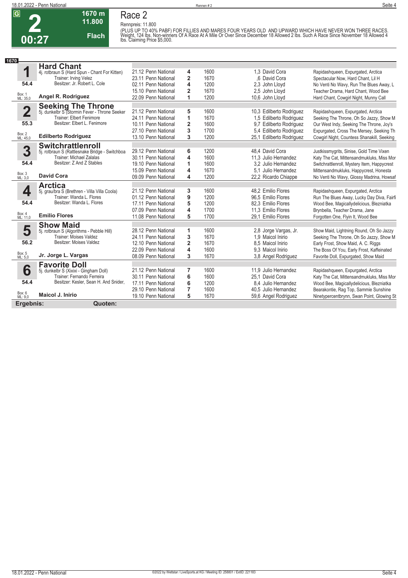

#### **1670 m Race 2**

**Flach**

**Rennpreis: 11.800**



(PLUS UP TO 40% PABF) FOR FILLIES AND MARES FOUR YEARS OLD AND UPWARD WHICH HAVE NEVER WON THREE RACES.<br>Weight, 124 Ibs. Non-winners Of A Race At A Mile Or Over Since December 18 Allowed 2 Ibs. Such A Race Since November

| 1670                    |                                                                     |                     |                |      |                          |                                             |
|-------------------------|---------------------------------------------------------------------|---------------------|----------------|------|--------------------------|---------------------------------------------|
|                         | <b>Hard Chant</b>                                                   |                     |                |      |                          |                                             |
| 1                       | 4j. rotbraun S (Hard Spun - Chant For Kitten)                       | 21.12 Penn National | 4              | 1600 | 1.3 David Cora           | Rapidashqueen, Expurgated, Arctica          |
|                         | Trainer: Irving Velez                                               | 23.11 Penn National | $\overline{2}$ | 1670 | .6 David Cora            | Spectacular Now, Hard Chant, Lil H          |
| 54.4                    | Besitzer: Jr. Robert L. Cole                                        | 02.11 Penn National | 4              | 1200 | 2.3 John Lloyd           | No Venti No Wavy, Run The Blues Away, L     |
|                         |                                                                     | 15.10 Penn National | $\overline{2}$ | 1670 | 2.5 John Llovd           | Teacher Drama. Hard Chant. Wood Bee         |
| Box: 1<br>ML: 35,0      | Angel R. Rodriguez                                                  | 22.09 Penn National | 1              | 1200 | 10,6 John Lloyd          | Hard Chant, Cowgirl Night, Munny Call       |
|                         |                                                                     |                     |                |      |                          |                                             |
| $\overline{\mathbf{2}}$ | Seeking The Throne<br>5j. dunkelbr S (Stormin Fever - Throne Seeker | 21.12 Penn National | 5              | 1600 | 10,3 Edilberto Rodriguez | Rapidashqueen, Expurgated, Arctica          |
|                         | Trainer: Elbert Fenimore                                            | 24.11 Penn National | 1              | 1670 | 1,5 Edilberto Rodriguez  | Seeking The Throne, Oh So Jazzy, Show M     |
| 55.3                    | Besitzer: Elbert L. Fenimore                                        | 10.11 Penn National | 2              | 1600 | 9.7 Edilberto Rodriguez  | Our West Indy, Seeking The Throne, Joy's    |
|                         |                                                                     | 27.10 Penn National | 3              | 1700 | 5.4 Edilberto Rodriguez  | Expurgated, Cross The Mersey, Seeking Th    |
| Box: 2<br>ML: 45,0      | <b>Edilberto Rodriguez</b>                                          | 13.10 Penn National | 3              | 1200 | 25.1 Edilberto Rodriguez | Cowgirl Night, Countess Shanakill, Seeking  |
|                         | <b>Switchrattlenroll</b>                                            |                     |                |      |                          |                                             |
| 3                       | 5j. rotbraun S (Rattlesnake Bridge - Switchboa                      | 29.12 Penn National | 6              | 1200 | 48.4 David Cora          | Justkissmygrits, Sinise, Gold Time Vixen    |
|                         | <b>Trainer: Michael Zalalas</b>                                     | 30.11 Penn National | 4              | 1600 | 11.3 Julio Hernandez     | Katy The Cat, Mittensandmukluks, Miss Mor   |
| 54.4                    | Besitzer: Z And Z Stables                                           | 19.10 Penn National | 1              | 1600 | 3.2 Julio Hernandez      | Switchrattlenroll, Mystery Item, Happycrest |
|                         |                                                                     | 15.09 Penn National | 4              | 1670 | 5.1 Julio Hernandez      | Mittensandmukluks, Happycrest, Honesta      |
| Box: 3<br>ML: 3,0       | <b>David Cora</b>                                                   | 09.09 Penn National | 4              | 1200 | 22,2 Ricardo Chiappe     | No Venti No Wavy, Glossy Madrina, Howsaf    |
|                         | <b>Arctica</b>                                                      |                     |                |      |                          |                                             |
| 4                       | 5j. grau/bra S (Brethren - Villa Villa Coola)                       | 21.12 Penn National | 3              | 1600 | 48.2 Emilio Flores       | Rapidashqueen, Expurgated, Arctica          |
|                         | Trainer: Wanda L. Flores                                            | 01.12 Penn National | 9              | 1200 | 96.5 Emilio Flores       | Run The Blues Away, Lucky Day Diva, Fairfi  |
| 54.4                    | Besitzer: Wanda L. Flores                                           | 17.11 Penn National | 5              | 1200 | 82.3 Emilio Flores       | Wood Bee, Magicallydelicious, Blezniatka    |
|                         |                                                                     | 07.09 Penn National | 4              | 1700 | 11.3 Emilio Flores       | Brynbella, Teacher Drama, Jane              |
| Box: 4<br>ML: 11,0      | <b>Emilio Flores</b>                                                | 11.08 Penn National | 5              | 1700 | 29.1 Emilio Flores       | Forgotten One, Flyin It, Wood Bee           |
|                         | <b>Show Maid</b>                                                    |                     |                |      |                          |                                             |
| 5                       | 5j. rotbraun S (Algorithms - Pebble Hill)                           | 28.12 Penn National | 1              | 1600 | 2,8 Jorge Vargas, Jr.    | Show Maid, Lightning Round, Oh So Jazzy     |
|                         | Trainer: Moises Valdez                                              | 24.11 Penn National | 3              | 1670 | 1.9 Maicol Inirio        | Seeking The Throne, Oh So Jazzy, Show M     |
| 56.2                    | Besitzer: Moises Valdez                                             | 12.10 Penn National | $\overline{2}$ | 1670 | 8.5 Maicol Inirio        | Early Frost, Show Maid, A. C. Riggs         |
|                         |                                                                     | 22.09 Penn National | 4              | 1600 | 9.3 Maicol Inirio        | The Boss Of You, Early Frost, Kaffeinated   |
| Box: 5<br>ML: 5,0       | Jr. Jorge L. Vargas                                                 | 08.09 Penn National | 3              | 1670 | 3,8 Angel Rodriguez      | Favorite Doll, Expurgated, Show Maid        |
|                         | <b>Favorite Doll</b>                                                |                     |                |      |                          |                                             |
| 6                       | 5j. dunkelbr S (Xixixi - Gingham Doll)                              | 21.12 Penn National | 7              | 1600 | 11.9 Julio Hernandez     | Rapidashqueen, Expurgated, Arctica          |
|                         | Trainer: Fernando Ferreira                                          | 30.11 Penn National | 6              | 1600 | 25.1 David Cora          | Katy The Cat, Mittensandmukluks, Miss Mor   |
| 54.4                    | Besitzer: Kesler, Sean H. And Snider,                               | 17.11 Penn National | 6              | 1200 | 8.4 Julio Hernandez      | Wood Bee, Magicallydelicious, Blezniatka    |
|                         |                                                                     | 29.10 Penn National | 7              | 1600 | 40.5 Julio Hernandez     | Bearakontie, Rag Top, Sammie Sunshine       |
| Box: 6<br>ML: 9,0       | <b>Maicol J. Inirio</b>                                             | 19.10 Penn National | 5              | 1670 | 59,6 Angel Rodriguez     | Ninetypercentbrynn, Swan Point, Glowing St  |
| Ergebnis:               | Quoten:                                                             |                     |                |      |                          |                                             |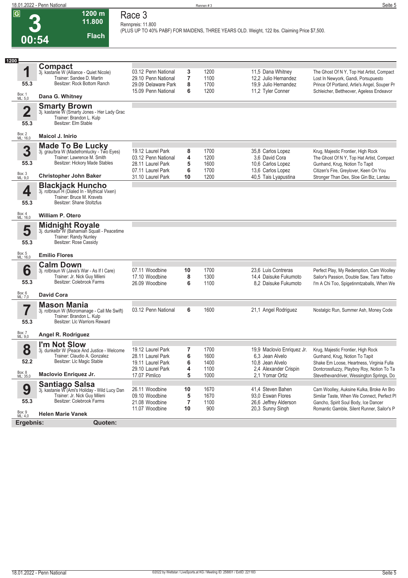**00:54**

**1200 m Race 3 Rennpreis: 11.800**

**11.800 Flach**

**(PLUS UP TO 40% PABF) FOR MAIDENS, THREE YEARS OLD. Weight, 122 lbs. Claiming Price \$7,500.** 

| <b>Compact</b><br>1<br>03.12 Penn National<br>3<br>1200<br>11,5 Dana Whitney<br>3j. kastanie W (Alliance - Quiet Nicole)<br>Trainer: Sandee D. Martin<br>7<br>29.10 Penn National<br>1100<br>12,2 Julio Hernandez<br>Lost In Newyork, Gandi, Porsupuesto<br>Besitzer: Rock Bottom Ranch<br>55.3<br>29.09 Delaware Park<br>8<br>1700<br>19,9 Julio Hernandez<br>6<br>15.09 Penn National<br>1200<br>11,2 Tyler Conner<br>Box: 1<br>ML: 5,0<br>Dana G. Whitney<br><b>Smarty Brown</b><br>$\overline{\mathbf{2}}$<br>3j. kastanie W (Smarty Jones - Her Lady Grac<br>Trainer: Brandon L. Kulp<br>Besitzer: Elm Stable<br>55.3<br>Box: 2<br>ML: 16,0<br>Maicol J. Inirio<br><b>Made To Be Lucky</b><br>3<br>3j. grau/bra W (Madefromlucky - Two Eyes)<br>19.12 Laurel Park<br>8<br>1700<br>35,8 Carlos Lopez<br>Krug, Majestic Frontier, High Rock<br>Trainer: Lawrence M. Smith<br>03.12 Penn National<br>4<br>1200<br>3.6 David Cora<br>Besitzer: Hickory Made Stables<br>55.3<br>28.11 Laurel Park<br>5<br>1600<br>10,6 Carlos Lopez<br>Gunhand, Krug, Notion To Tapit<br>6<br>07.11 Laurel Park<br>1700<br>13,6 Carlos Lopez<br>Box: 3<br>ML: 9,0<br><b>Christopher John Baker</b><br>40,5 Tais Lyapustina<br>31.10 Laurel Park<br>10<br>1200<br>Stronger Than Dex, Sloe Gin Biz, Lantau<br><b>Blackjack Huncho</b><br>4<br>3j. rotbraun <sup>7</sup> H (Dialed In - Mythical Vixen)<br>Trainer: Bruce M. Kravets<br>Besitzer: Shane Stoltzfus<br>55.3<br>Box: 4<br>ML: 16,0<br><b>William P. Otero</b><br><b>Midnight Royale</b><br>5<br>3j. dunkelbr W (Bahamian Squall - Peacetime<br><b>Trainer: Randy Nunley</b><br>Besitzer: Rose Cassidy<br>55.3<br>Box: 5<br>ML: 16,0<br><b>Emilio Flores</b><br><b>Calm Down</b><br>6<br>07.11 Woodbine<br>1700<br>23,6 Luis Contreras<br>10<br>3j. rotbraun W (Java's War - As If I Care)<br>Trainer: Jr. Nick Guy Mileni<br>17.10 Woodbine<br>8<br>1300<br>14,4 Daisuke Fukumoto<br>Besitzer: Colebrook Farms<br>55.3<br>26.09 Woodbine<br>6<br>1100<br>8.2 Daisuke Fukumoto<br>Box: 6<br>ML: 7,0<br><b>David Cora</b><br><b>Mason Mania</b><br>7<br>03.12 Penn National<br>6<br>1600<br>21,1 Angel Rodriguez<br>3j. rotbraun W (Micromanage - Call Me Swift)<br>Trainer: Brandon L. Kulp<br>Besitzer: Llc Warriors Reward<br>55.3<br>Box: 7<br>Angel R. Rodriguez<br>ML: 9,0<br>I'm Not Slow<br>8<br>19.12 Laurel Park<br>1700<br>7<br>19,9 Maclovio Enriquez Jr.<br>Krug, Majestic Frontier, High Rock<br>3j. dunkelbr W (Peace And Justice - Welcome<br>Trainer: Claudio A. Gonzalez<br>28.11 Laurel Park<br>6<br>1600<br>6.3 Jean Alvelo<br>Gunhand, Krug, Notion To Tapit<br>52.2<br>Besitzer: Llc Magic Stable<br>1400<br>19.11 Laurel Park<br>6<br>10,8 Jean Alvelo<br>4<br>1100<br>29.10 Laurel Park<br>2,4 Alexander Crispin<br>Dontcrossfuzzy, Playboy Roy, Notion To Ta<br>Box: 8<br>ML: 35,0<br>Maclovio Enriquez Jr.<br>5<br>17.07 Pimlico<br>1000<br>2.1 Yomar Ortiz<br><b>Santiago Salsa</b><br>3j. kastanie W (Ami's Holiday - Wild Lucy Dan<br>9<br>41,4 Steven Bahen<br>26.11 Woodbine<br>10<br>1670<br>Trainer: Jr. Nick Guy Mileni<br>5<br>09.10 Woodbine<br>1670<br>93,0 Eswan Flores<br>55.3<br>Besitzer: Colebrook Farms<br>$\overline{7}$<br>21.08 Woodbine<br>1100<br>26,6 Jeffrey Alderson<br>Gancho, Spirit Soul Body, Ice Dancer<br>10<br>900<br>11.07 Woodbine<br>20,3 Sunny Singh<br>Box: 9<br>ML: 4,0<br><b>Helen Marie Vanek</b><br>Ergebnis:<br>Quoten: | 1200 |  |  |                                                                                                                                      |
|-------------------------------------------------------------------------------------------------------------------------------------------------------------------------------------------------------------------------------------------------------------------------------------------------------------------------------------------------------------------------------------------------------------------------------------------------------------------------------------------------------------------------------------------------------------------------------------------------------------------------------------------------------------------------------------------------------------------------------------------------------------------------------------------------------------------------------------------------------------------------------------------------------------------------------------------------------------------------------------------------------------------------------------------------------------------------------------------------------------------------------------------------------------------------------------------------------------------------------------------------------------------------------------------------------------------------------------------------------------------------------------------------------------------------------------------------------------------------------------------------------------------------------------------------------------------------------------------------------------------------------------------------------------------------------------------------------------------------------------------------------------------------------------------------------------------------------------------------------------------------------------------------------------------------------------------------------------------------------------------------------------------------------------------------------------------------------------------------------------------------------------------------------------------------------------------------------------------------------------------------------------------------------------------------------------------------------------------------------------------------------------------------------------------------------------------------------------------------------------------------------------------------------------------------------------------------------------------------------------------------------------------------------------------------------------------------------------------------------------------------------------------------------------------------------------------------------------------------------------------------------------------------------------------------------------------------------------------------------------------------------------------------------------------------------------------------------------------------------------------------------------------------------------------------------------------------------------------------------------------------------------------------------------------------------------------------------------------------------------------------------------------------------------------------------------|------|--|--|--------------------------------------------------------------------------------------------------------------------------------------|
|                                                                                                                                                                                                                                                                                                                                                                                                                                                                                                                                                                                                                                                                                                                                                                                                                                                                                                                                                                                                                                                                                                                                                                                                                                                                                                                                                                                                                                                                                                                                                                                                                                                                                                                                                                                                                                                                                                                                                                                                                                                                                                                                                                                                                                                                                                                                                                                                                                                                                                                                                                                                                                                                                                                                                                                                                                                                                                                                                                                                                                                                                                                                                                                                                                                                                                                                                                                                                                     |      |  |  | The Ghost Of N Y, Top Hat Artist, Compact<br>Prince Of Portland, Artie's Angel, Souper Pr                                            |
|                                                                                                                                                                                                                                                                                                                                                                                                                                                                                                                                                                                                                                                                                                                                                                                                                                                                                                                                                                                                                                                                                                                                                                                                                                                                                                                                                                                                                                                                                                                                                                                                                                                                                                                                                                                                                                                                                                                                                                                                                                                                                                                                                                                                                                                                                                                                                                                                                                                                                                                                                                                                                                                                                                                                                                                                                                                                                                                                                                                                                                                                                                                                                                                                                                                                                                                                                                                                                                     |      |  |  | Schleicher, Bettheover, Ageless Endeavor                                                                                             |
|                                                                                                                                                                                                                                                                                                                                                                                                                                                                                                                                                                                                                                                                                                                                                                                                                                                                                                                                                                                                                                                                                                                                                                                                                                                                                                                                                                                                                                                                                                                                                                                                                                                                                                                                                                                                                                                                                                                                                                                                                                                                                                                                                                                                                                                                                                                                                                                                                                                                                                                                                                                                                                                                                                                                                                                                                                                                                                                                                                                                                                                                                                                                                                                                                                                                                                                                                                                                                                     |      |  |  |                                                                                                                                      |
|                                                                                                                                                                                                                                                                                                                                                                                                                                                                                                                                                                                                                                                                                                                                                                                                                                                                                                                                                                                                                                                                                                                                                                                                                                                                                                                                                                                                                                                                                                                                                                                                                                                                                                                                                                                                                                                                                                                                                                                                                                                                                                                                                                                                                                                                                                                                                                                                                                                                                                                                                                                                                                                                                                                                                                                                                                                                                                                                                                                                                                                                                                                                                                                                                                                                                                                                                                                                                                     |      |  |  |                                                                                                                                      |
|                                                                                                                                                                                                                                                                                                                                                                                                                                                                                                                                                                                                                                                                                                                                                                                                                                                                                                                                                                                                                                                                                                                                                                                                                                                                                                                                                                                                                                                                                                                                                                                                                                                                                                                                                                                                                                                                                                                                                                                                                                                                                                                                                                                                                                                                                                                                                                                                                                                                                                                                                                                                                                                                                                                                                                                                                                                                                                                                                                                                                                                                                                                                                                                                                                                                                                                                                                                                                                     |      |  |  | The Ghost Of N Y, Top Hat Artist, Compact                                                                                            |
|                                                                                                                                                                                                                                                                                                                                                                                                                                                                                                                                                                                                                                                                                                                                                                                                                                                                                                                                                                                                                                                                                                                                                                                                                                                                                                                                                                                                                                                                                                                                                                                                                                                                                                                                                                                                                                                                                                                                                                                                                                                                                                                                                                                                                                                                                                                                                                                                                                                                                                                                                                                                                                                                                                                                                                                                                                                                                                                                                                                                                                                                                                                                                                                                                                                                                                                                                                                                                                     |      |  |  | Citizen's Fire, Greylover, Keen On You                                                                                               |
|                                                                                                                                                                                                                                                                                                                                                                                                                                                                                                                                                                                                                                                                                                                                                                                                                                                                                                                                                                                                                                                                                                                                                                                                                                                                                                                                                                                                                                                                                                                                                                                                                                                                                                                                                                                                                                                                                                                                                                                                                                                                                                                                                                                                                                                                                                                                                                                                                                                                                                                                                                                                                                                                                                                                                                                                                                                                                                                                                                                                                                                                                                                                                                                                                                                                                                                                                                                                                                     |      |  |  |                                                                                                                                      |
|                                                                                                                                                                                                                                                                                                                                                                                                                                                                                                                                                                                                                                                                                                                                                                                                                                                                                                                                                                                                                                                                                                                                                                                                                                                                                                                                                                                                                                                                                                                                                                                                                                                                                                                                                                                                                                                                                                                                                                                                                                                                                                                                                                                                                                                                                                                                                                                                                                                                                                                                                                                                                                                                                                                                                                                                                                                                                                                                                                                                                                                                                                                                                                                                                                                                                                                                                                                                                                     |      |  |  |                                                                                                                                      |
|                                                                                                                                                                                                                                                                                                                                                                                                                                                                                                                                                                                                                                                                                                                                                                                                                                                                                                                                                                                                                                                                                                                                                                                                                                                                                                                                                                                                                                                                                                                                                                                                                                                                                                                                                                                                                                                                                                                                                                                                                                                                                                                                                                                                                                                                                                                                                                                                                                                                                                                                                                                                                                                                                                                                                                                                                                                                                                                                                                                                                                                                                                                                                                                                                                                                                                                                                                                                                                     |      |  |  |                                                                                                                                      |
|                                                                                                                                                                                                                                                                                                                                                                                                                                                                                                                                                                                                                                                                                                                                                                                                                                                                                                                                                                                                                                                                                                                                                                                                                                                                                                                                                                                                                                                                                                                                                                                                                                                                                                                                                                                                                                                                                                                                                                                                                                                                                                                                                                                                                                                                                                                                                                                                                                                                                                                                                                                                                                                                                                                                                                                                                                                                                                                                                                                                                                                                                                                                                                                                                                                                                                                                                                                                                                     |      |  |  |                                                                                                                                      |
|                                                                                                                                                                                                                                                                                                                                                                                                                                                                                                                                                                                                                                                                                                                                                                                                                                                                                                                                                                                                                                                                                                                                                                                                                                                                                                                                                                                                                                                                                                                                                                                                                                                                                                                                                                                                                                                                                                                                                                                                                                                                                                                                                                                                                                                                                                                                                                                                                                                                                                                                                                                                                                                                                                                                                                                                                                                                                                                                                                                                                                                                                                                                                                                                                                                                                                                                                                                                                                     |      |  |  | Perfect Play, My Redemption, Cam Woolley<br>Sailor's Passion, Double Saw, Tara Tattoo<br>I'm A Chi Too, Spigetinmtzaballs, When We   |
|                                                                                                                                                                                                                                                                                                                                                                                                                                                                                                                                                                                                                                                                                                                                                                                                                                                                                                                                                                                                                                                                                                                                                                                                                                                                                                                                                                                                                                                                                                                                                                                                                                                                                                                                                                                                                                                                                                                                                                                                                                                                                                                                                                                                                                                                                                                                                                                                                                                                                                                                                                                                                                                                                                                                                                                                                                                                                                                                                                                                                                                                                                                                                                                                                                                                                                                                                                                                                                     |      |  |  |                                                                                                                                      |
|                                                                                                                                                                                                                                                                                                                                                                                                                                                                                                                                                                                                                                                                                                                                                                                                                                                                                                                                                                                                                                                                                                                                                                                                                                                                                                                                                                                                                                                                                                                                                                                                                                                                                                                                                                                                                                                                                                                                                                                                                                                                                                                                                                                                                                                                                                                                                                                                                                                                                                                                                                                                                                                                                                                                                                                                                                                                                                                                                                                                                                                                                                                                                                                                                                                                                                                                                                                                                                     |      |  |  | Nostalgic Run, Summer Ash, Money Code                                                                                                |
|                                                                                                                                                                                                                                                                                                                                                                                                                                                                                                                                                                                                                                                                                                                                                                                                                                                                                                                                                                                                                                                                                                                                                                                                                                                                                                                                                                                                                                                                                                                                                                                                                                                                                                                                                                                                                                                                                                                                                                                                                                                                                                                                                                                                                                                                                                                                                                                                                                                                                                                                                                                                                                                                                                                                                                                                                                                                                                                                                                                                                                                                                                                                                                                                                                                                                                                                                                                                                                     |      |  |  |                                                                                                                                      |
|                                                                                                                                                                                                                                                                                                                                                                                                                                                                                                                                                                                                                                                                                                                                                                                                                                                                                                                                                                                                                                                                                                                                                                                                                                                                                                                                                                                                                                                                                                                                                                                                                                                                                                                                                                                                                                                                                                                                                                                                                                                                                                                                                                                                                                                                                                                                                                                                                                                                                                                                                                                                                                                                                                                                                                                                                                                                                                                                                                                                                                                                                                                                                                                                                                                                                                                                                                                                                                     |      |  |  | Shake Em Loose, Heartness, Virginia Fulla                                                                                            |
|                                                                                                                                                                                                                                                                                                                                                                                                                                                                                                                                                                                                                                                                                                                                                                                                                                                                                                                                                                                                                                                                                                                                                                                                                                                                                                                                                                                                                                                                                                                                                                                                                                                                                                                                                                                                                                                                                                                                                                                                                                                                                                                                                                                                                                                                                                                                                                                                                                                                                                                                                                                                                                                                                                                                                                                                                                                                                                                                                                                                                                                                                                                                                                                                                                                                                                                                                                                                                                     |      |  |  | Stevethevandriver, Wessington Springs, Do                                                                                            |
|                                                                                                                                                                                                                                                                                                                                                                                                                                                                                                                                                                                                                                                                                                                                                                                                                                                                                                                                                                                                                                                                                                                                                                                                                                                                                                                                                                                                                                                                                                                                                                                                                                                                                                                                                                                                                                                                                                                                                                                                                                                                                                                                                                                                                                                                                                                                                                                                                                                                                                                                                                                                                                                                                                                                                                                                                                                                                                                                                                                                                                                                                                                                                                                                                                                                                                                                                                                                                                     |      |  |  | Cam Woolley, Auksine Kulka, Broke An Bro<br>Similar Taste, When We Connect, Perfect PI<br>Romantic Gamble, Silent Runner, Sailor's P |
|                                                                                                                                                                                                                                                                                                                                                                                                                                                                                                                                                                                                                                                                                                                                                                                                                                                                                                                                                                                                                                                                                                                                                                                                                                                                                                                                                                                                                                                                                                                                                                                                                                                                                                                                                                                                                                                                                                                                                                                                                                                                                                                                                                                                                                                                                                                                                                                                                                                                                                                                                                                                                                                                                                                                                                                                                                                                                                                                                                                                                                                                                                                                                                                                                                                                                                                                                                                                                                     |      |  |  |                                                                                                                                      |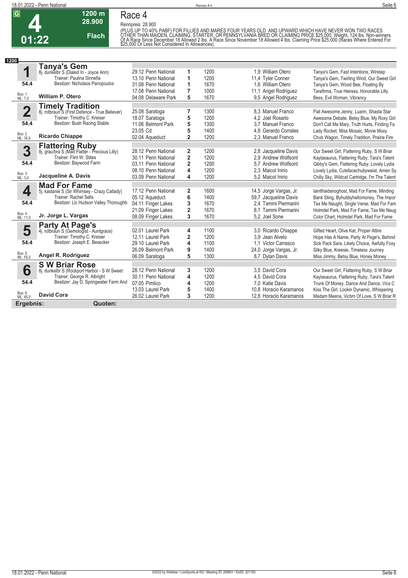

## **Race 4**

**1200 m 28.900** 

**Flach**

**Rennpreis: 28.900**

(PLUS UP TO 40% PABF) FOR FILLIES AND MARES FOUR YEARS OLD. AND UPWARD WHICH HAVE NEVER WON TWO RACES<br>OTHER THAN MAIDEN, CLAIMING, STARTER, OR PENNSYLVANIA BRED OR CLAIMING PRICE \$25.000. Weight, 124 lbs. Non-winners<br>Of A

| 1200                    |                                                                           |                                            |                              |              |                                          |                                                                                         |
|-------------------------|---------------------------------------------------------------------------|--------------------------------------------|------------------------------|--------------|------------------------------------------|-----------------------------------------------------------------------------------------|
|                         | Tanya's Gem                                                               |                                            |                              |              |                                          |                                                                                         |
| 1                       | 8j. dunkelbr S (Dialed In - Joyce Ann)<br>Trainer: Paulina Sinnefia       | 29.12 Penn National                        | 1                            | 1200         | 1.9 William Otero                        | Tanya's Gem, Fast Intentions, Wiretap                                                   |
| 54.4                    | Besitzer: Nicholaos Panopoulos                                            | 13.10 Penn National<br>31.08 Penn National | 1<br>1                       | 1200<br>1670 | 11,4 Tyler Conner<br>1.6 William Otero   | Tanya's Gem, Twirling Wind, Our Sweet Girl<br>Tanya's Gem, Wood Bee, Floating By        |
|                         |                                                                           | 17.08 Penn National                        | 7                            | 1000         | 11,1 Angel Rodriguez                     | Tarafirma, True Heiress, Honorable Lilly                                                |
| Box: 1<br>ML: 7,0       | <b>William P. Otero</b>                                                   | 04.08 Delaware Park                        | 5                            | 1670         | 9.5 Angel Rodriguez                      | Bess, Evil Woman, Vibrancy                                                              |
|                         |                                                                           |                                            |                              |              |                                          |                                                                                         |
| $\overline{\mathbf{2}}$ | <b>Timely Tradition</b><br>8j. rotbraun S (First Defence - True Believer) | 25.08 Saratoga                             | 7                            | 1300         | 8.3 Manuel Franco                        | Flat Awesome Jenny, Luann, Shasta Star                                                  |
|                         | Trainer: Timothy C. Kreiser                                               | 18.07 Saratoga                             | 5                            | 1200         | 4.2 Joel Rosario                         | Awesome Debate, Betsy Blue, My Roxy Girl                                                |
| 54.4                    | Besitzer: Bush Racing Stable                                              | 11.06 Belmont Park                         | 5                            | 1300         | 3.7 Manuel Franco                        | Don't Call Me Mary, Truth Hurts, Finding Fa                                             |
|                         |                                                                           | 23.05 Cd                                   | 5                            | 1400         | 4.8 Gerardo Corrales                     | Lady Rocket, Miss Mosaic, Movie Moxy                                                    |
| Box: 2<br>ML: 35,0      | <b>Ricardo Chiappe</b>                                                    | 02.04 Aqueduct                             | $\overline{2}$               | 1200         | 2.3 Manuel Franco                        | Chub Wagon, Timely Tradition, Prairie Fire                                              |
|                         | <b>Flattering Ruby</b><br>8j. grau/bra S (Mad Flatter - Precious Lilly)   |                                            |                              |              |                                          |                                                                                         |
| 3                       |                                                                           | 28.12 Penn National                        | 2                            | 1200         | 2.8 Jacqueline Davis                     | Our Sweet Girl, Flattering Ruby, S W Briar                                              |
| 54.4                    | Trainer: Flint W. Stites<br>Besitzer: Baywood Farm                        | 30.11 Penn National                        | 2                            | 1200         | 2.9 Andrew Wolfsont                      | Kaylasaurus, Flattering Ruby, Tara's Talent                                             |
|                         |                                                                           | 03.11 Penn National<br>08.10 Penn National | $\overline{2}$<br>4          | 1200<br>1200 | 5.7 Andrew Wolfsont<br>2,3 Maicol Inirio | Gibby's Gem, Flattering Ruby, Lovely Lydia<br>Lovely Lydia, Cutefacechubywaist, Amen Sy |
| Box: 3<br>ML: 3,0       | Jacqueline A. Davis                                                       | 03.09 Penn National                        | 4                            | 1200         | 5,2 Maicol Inirio                        | Chilly Sky, Wildcat Cartridge, I'm The Talent                                           |
|                         | <b>Mad For Fame</b>                                                       |                                            |                              |              |                                          |                                                                                         |
| 4                       | 5j. kastanie S (Sir Whimsey - Crazy Catlady)                              | 17.12 Penn National                        | 2                            | 1600         | 14,5 Jorge Vargas, Jr.                   | laintfraidanoghost, Mad For Fame, Minding                                               |
|                         | Trainer: Rachel Sells                                                     | 05.12 Aqueduct                             | 6                            | 1400         | 59,7 Jacqueline Davis                    | Bank Sting, Byhubbyhellomoney, The Impor                                                |
| 54.4                    | Besitzer: LIc Hudson Valley Thoroughb                                     | 04.11 Finger Lakes                         | 3                            | 1670         | 2.4 Tammi Piermarini                     | Tax Me Naught, Single Verse, Mad For Fam                                                |
| Box: 4                  |                                                                           | 21.09 Finger Lakes                         | $\overline{2}$               | 1670         | 8.1 Tammi Piermarini                     | Holmdel Park, Mad For Fame, Tax Me Naug                                                 |
| ML: 11,0                | Jr. Jorge L. Vargas                                                       | 08.09 Finger Lakes                         | 3                            | 1670         | 5.2 Joel Sone                            | Color Chart. Holmdel Park. Mad For Fame                                                 |
|                         | <b>Party At Page's</b>                                                    |                                            |                              |              |                                          |                                                                                         |
| 5                       | 4j. rotbraun S (Gemologist - Auntgrace)<br>Trainer: Timothy C. Kreiser    | 02.01 Laurel Park                          | 4                            | 1100<br>1200 | 3,0 Ricardo Chiappe                      | Gifted Heart, Olive Kat, Proper Attire                                                  |
| 54.4                    | Besitzer: Joseph E. Besecker                                              | 12.11 Laurel Park<br>29.10 Laurel Park     | $\overline{\mathbf{c}}$<br>4 | 1100         | 3.9 Jean Alvelo<br>1.1 Victor Carrasco   | Hope Has A Name, Party At Page's, Behind<br>Sick Pack Sara, Likely Choice, Awfully Foxy |
|                         |                                                                           | 26.09 Belmont Park                         | 9                            | 1400         | 24,0 Jorge Vargas, Jr.                   | Silky Blue, Kreesie, Timeless Journey                                                   |
| Box: 5<br>ML: 55,0      | Angel R. Rodriguez                                                        | 06.09 Saratoga                             | 5                            | 1300         | 8,7 Dylan Davis                          | Miss Jimmy, Betsy Blue, Honey Money                                                     |
|                         | <b>SW Briar Rose</b>                                                      |                                            |                              |              |                                          |                                                                                         |
| 6                       | 8j. dunkelbr S (Rockport Harbor - S W Sweet                               | 28.12 Penn National                        | 3                            | 1200         | 3.5 David Cora                           | Our Sweet Girl, Flattering Ruby, S W Briar                                              |
|                         | Trainer: George R. Albright                                               | 30.11 Penn National                        | 4                            | 1200         | 4,5 David Cora                           | Kaylasaurus, Flattering Ruby, Tara's Talent                                             |
| 54.4                    | Besitzer: Jay D. Springwater Farm And                                     | 07.05 Pimlico                              | 4                            | 1200         | 7.0 Katie Davis                          | Trunk Of Money, Dance And Dance, Vics C                                                 |
|                         |                                                                           | 13.03 Laurel Park                          | 5                            | 1400         | 10.8 Horacio Karamanos                   | Kiss The Girl, Lookin Dynamic, Whispering                                               |
| Box: 6<br>ML: 45,0      | <b>David Cora</b>                                                         | 26.02 Laurel Park                          | 3                            | 1200         | 12,8 Horacio Karamanos                   | Madam Meena, Victim Of Love, S W Briar R                                                |
| Ergebnis:               | Quoten:                                                                   |                                            |                              |              |                                          |                                                                                         |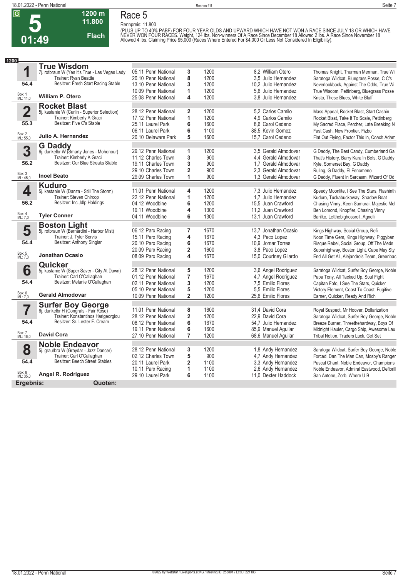

**Race 5 Rennpreis: 11.800**

**1200 m 11.800** 

**Flach**

(PLUS UP TO 40% PABF) FOR FOUR YEAR OLDS AND UPWARD WHICH HAVE NOT WON A RACE SINCE JULY 18 OR WHICH HAVE<br>NEVER WON FOUR RACES. Weight, 124 Ibs. Non-winners Of A Race Since December 18 Allowed 2 Ibs. A Race Since November

| 1200                    |                                                                          |                                        |                         |              |                                          |                       |                                                                                    |
|-------------------------|--------------------------------------------------------------------------|----------------------------------------|-------------------------|--------------|------------------------------------------|-----------------------|------------------------------------------------------------------------------------|
|                         | <b>True Wisdom</b>                                                       |                                        |                         |              |                                          |                       |                                                                                    |
| 1                       | 7j. rotbraun W (Yes It's True - Las Vegas Lady                           | 05.11 Penn National                    | 3                       | 1200         | 8.2 William Otero                        |                       | Thomas Knight, Thurman Merman, True Wi                                             |
|                         | Trainer: Ryan Beattie                                                    | 20.10 Penn National                    | 8                       | 1200         |                                          | 3.5 Julio Hernandez   | Saratoga Wildcat, Bluegrass Posse, C C's                                           |
| 54.4                    | Besitzer: Fresh Start Racing Stable                                      | 13.10 Penn National                    | 3                       | 1200         |                                          | 10.2 Julio Hernandez  | Neverlookback, Against The Odds, True Wi                                           |
|                         |                                                                          | 10.09 Penn National                    | 1                       | 1200         |                                          | 5.6 Julio Hernandez   | True Wisdom, Pettinberg, Bluegrass Posse                                           |
| Box: 1<br>ML: 11,0      | <b>William P. Otero</b>                                                  | 25.08 Penn National                    | 4                       | 1200         |                                          | 3.8 Julio Hernandez   | Kristo, These Blues, White Bluff                                                   |
|                         | <b>Rocket Blast</b>                                                      |                                        |                         |              |                                          |                       |                                                                                    |
| $\overline{\mathbf{2}}$ | 5j. kastanie W (Curlin - Superior Selection)                             | 28.12 Penn National                    | $\mathbf{2}$            | 1200         | 5.2 Carlos Camilo                        |                       | Mass Appeal, Rocket Blast, Start Cashin                                            |
|                         | Trainer: Kimberly A Graci<br>Besitzer: Five C's Stable                   | 17.12 Penn National                    | $\mathbf{1}$            | 1200         | 4,9 Carlos Camilo                        |                       | Rocket Blast, Take It To Scale, Pettinberg                                         |
| 55.3                    |                                                                          | 25.11 Laurel Park                      | 6                       | 1600         | 8.6 Carol Cedeno                         |                       | My Sacred Place, Percher, Late Breaking N                                          |
| Box: 2<br>ML: 55,0      | Julio A. Hernandez                                                       | 06.11 Laurel Park                      | 6                       | 1100         | 88.5 Kevin Gomez                         |                       | Fast Cash, New Frontier, Fizbo                                                     |
|                         |                                                                          | 20.10 Delaware Park                    | 5                       | 1600         | 15.7 Carol Cedeno                        |                       | Flat Out Flying, Factor This In, Coach Adam                                        |
|                         | <b>G</b> Daddy                                                           |                                        |                         |              |                                          |                       |                                                                                    |
| 3                       | 6j. dunkelbr W (Smarty Jones - Mohonour)                                 | 29.12 Penn National                    | 1                       | 1200         |                                          | 3,5 Gerald Almodovar  | G Daddy, The Best Candy, Cumberland Ga                                             |
| 56.2                    | Trainer: Kimberly A Graci<br>Besitzer: Our Blue Streaks Stable           | 11.12 Charles Town                     | 3                       | 900          |                                          | 4.4 Gerald Almodovar  | That's History, Barry Karafin Bets, G Daddy                                        |
|                         |                                                                          | 19.11 Charles Town                     | 3                       | 900          |                                          | 1.7 Gerald Almodovar  | Kyle, Somerset Bay, G Daddy                                                        |
| Box: 3<br>ML: 45,0      | <b>Inoel Beato</b>                                                       | 29.10 Charles Town                     | $\overline{\mathbf{2}}$ | 900          |                                          | 2.3 Gerald Almodovar  | Ruling, G Daddy, El Fenomeno                                                       |
|                         |                                                                          | 29.09 Charles Town                     | 1                       | 900          |                                          | 1.3 Gerald Almodovar  | G Daddy, Fluent In Sarcasm, Wizard Of Od                                           |
|                         | <b>Kuduro</b>                                                            |                                        |                         |              |                                          |                       |                                                                                    |
| 4                       | 5j. kastanie W (Danza - Still The Storm)                                 | 11.01 Penn National                    | 4                       | 1200         |                                          | 7,3 Julio Hernandez   | Speedy Moonlite, I See The Stars, Flashinth                                        |
| 56.2                    | Trainer: Steven Chircop<br>Besitzer: Inc Jdlp Holdings                   | 22.12 Penn National                    | 1                       | 1200         |                                          | 1.7 Julio Hernandez   | Kuduro, Tuckabuckaway, Shadow Boat                                                 |
|                         |                                                                          | 04.12 Woodbine<br>19.11 Woodbine       | 6<br>4                  | 1200<br>1300 | 15.5 Juan Crawford<br>11.2 Juan Crawford |                       | Chasing Vinny, Keen Samurai, Majestic Mel                                          |
| Box: 4<br>ML: 7,0       | <b>Tyler Conner</b>                                                      | 04.11 Woodbine                         | 6                       | 1300         | 13.1 Juan Crawford                       |                       | Ben Lomond, Knopfler, Chasing Vinny<br>Barilko, Letthebighossroll, Agnelli         |
|                         |                                                                          |                                        |                         |              |                                          |                       |                                                                                    |
|                         | <b>Boston Light</b>                                                      |                                        |                         |              |                                          |                       |                                                                                    |
| 5                       | 5j. rotbraun W (Bernardini - Harbor Mist)<br>Trainer: J. Tyler Servis    | 06.12 Parx Racing                      | $\overline{7}$<br>4     | 1670<br>1670 | 4.3 Paco Lopez                           | 13,7 Jonathan Ocasio  | Kings Highway, Social Group, Refi                                                  |
| 54.4                    | Besitzer: Anthony Singlar                                                | 15.11 Parx Racing<br>20.10 Parx Racing | 6                       | 1670         | 10.9 Jomar Torres                        |                       | Noon Time Gem, Kings Highway, Piggyban<br>Risque Rebel, Social Group, Off The Meds |
|                         |                                                                          | 20.09 Parx Racing                      | $\mathbf 2$             | 1600         | 3.8 Paco Lopez                           |                       | Superhighway, Boston Light, Cape May Styl                                          |
| Box: 5<br>ML: 7,0       | <b>Jonathan Ocasio</b>                                                   | 08.09 Parx Racing                      | 4                       | 1670         |                                          | 15,0 Courtney Gilardo | End All Get All, Alejandro's Team, Greenbac                                        |
|                         |                                                                          |                                        |                         |              |                                          |                       |                                                                                    |
| 6                       | Quicker                                                                  | 28.12 Penn National                    | 5                       | 1200         |                                          | 3,6 Angel Rodriguez   |                                                                                    |
|                         | 5j. kastanie W (Super Saver - City At Dawn)<br>Trainer: Carl O'Callaghan | 01.12 Penn National                    | $\overline{7}$          | 1670         |                                          | 4,7 Angel Rodriguez   | Saratoga Wildcat, Surfer Boy George, Noble<br>Papa Tony, All Tacked Up, Soul Fight |
| 54.4                    | Besitzer: Melanie O'Callaghan                                            | 02.11 Penn National                    | 3                       | 1200         | 7.5 Emilio Flores                        |                       | Capitan Fofo, I See The Stars, Quicker                                             |
|                         |                                                                          | 05.10 Penn National                    | 5                       | 1200         | 5.5 Emilio Flores                        |                       | Victory Element, Coast To Coast, Fugitive                                          |
| Box: 6<br>ML: 7,0       | <b>Gerald Almodovar</b>                                                  | 10.09 Penn National                    | $\overline{2}$          | 1200         | 25.6 Emilio Flores                       |                       | Earner, Quicker, Ready And Rich                                                    |
|                         |                                                                          |                                        |                         |              |                                          |                       |                                                                                    |
| $\overline{\mathbf{7}}$ | <b>Surfer Boy George</b><br>6j. dunkelbr H (Congrats - Fair Rose)        | 11.01 Penn National                    | 8                       | 1600         | 31,4 David Cora                          |                       | Royal Suspect, Mr Hoover, Dollarization                                            |
|                         | Trainer: Konstantinos Harigeorgiou                                       | 28.12 Penn National                    | $\overline{2}$          | 1200         | 22,9 David Cora                          |                       | Saratoga Wildcat, Surfer Boy George, Noble                                         |
| 54.4                    | Besitzer: Sr. Lester F. Cream                                            | 08.12 Penn National                    | 6                       | 1670         |                                          | 54.7 Julio Hernandez  | Breeze Burner, Threethehardway, Boys Of                                            |
|                         |                                                                          | 19.11 Penn National                    | 6                       | 1600         | 85,9 Manuel Aquilar                      |                       | Midnight Hauler, Cargo Ship, Awesome Lau                                           |
| Box: 7<br>ML: 16,0      | <b>David Cora</b>                                                        | 27.10 Penn National                    | $\overline{7}$          | 1200         | 68,6 Manuel Aquilar                      |                       | Tribal Notion, Traders Luck, Get Set                                               |
|                         | <b>Noble Endeavor</b>                                                    |                                        |                         |              |                                          |                       |                                                                                    |
| 8                       | 5j. grau/bra W (Graydar - Jazz Dancer)                                   | 28.12 Penn National                    | 3                       | 1200         |                                          | 1,8 Andy Hernandez    | Saratoga Wildcat, Surfer Boy George, Noble                                         |
|                         | Trainer: Carl O'Callaghan                                                | 02.12 Charles Town                     | 5                       | 900          |                                          | 4.7 Andy Hernandez    | Forced, Dan The Man Can, Mosby's Ranger                                            |
| 54.4                    | Besitzer: Beech Street Stables                                           | 20.11 Laurel Park                      | $\overline{2}$          | 1100         |                                          | 3.3 Andy Hernandez    | Pascal Chant, Noble Endeavor, Champions                                            |
|                         |                                                                          | 10.11 Parx Racing                      | 1                       | 1100         |                                          | 2.6 Andy Hernandez    | Noble Endeavor, Admiral Eastwood, Defibrill                                        |
| Box: 8<br>ML: 35,0      | Angel R. Rodriguez                                                       | 29.10 Laurel Park                      | 6                       | 1100         |                                          | 11.0 Dexter Haddock   | San Antone, Zorb, Where U B                                                        |
| Ergebnis:               | Quoten:                                                                  |                                        |                         |              |                                          |                       |                                                                                    |
|                         |                                                                          |                                        |                         |              |                                          |                       |                                                                                    |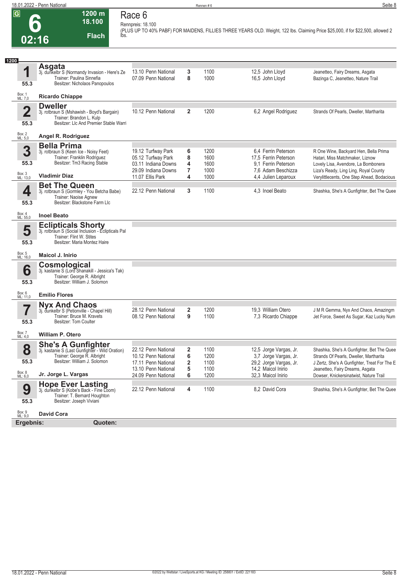**Rennpreis: 18.100**

**02:16**

**1200 m 18.100** 

**Flach**

# **Race 6**

**(PLUS UP TO 40% PABF) FOR MAIDENS, FILLIES THREE YEARS OLD. Weight, 122 lbs. Claiming Price \$25,000, if for \$22,500, allowed 2 lbs.** 

| 1200                   |                                                                                                                                             |                                                                                        |                                   |                              |                                                                                          |                                                                                                                                                          |
|------------------------|---------------------------------------------------------------------------------------------------------------------------------------------|----------------------------------------------------------------------------------------|-----------------------------------|------------------------------|------------------------------------------------------------------------------------------|----------------------------------------------------------------------------------------------------------------------------------------------------------|
| 1<br>55.3              | Asgata<br>3j. dunkelbr S (Normandy Invasion - Here's Ze<br>Trainer: Paulina Sinnefia<br>Besitzer: Nicholaos Panopoulos                      | 13.10 Penn National<br>07.09 Penn National                                             | 3<br>8                            | 1100<br>1000                 | 12,5 John Lloyd<br>16,5 John Lloyd                                                       | Jeanetteo, Fairy Dreams, Asgata<br>Bazinga C, Jeanetteo, Nature Trail                                                                                    |
| Box: 1<br>ML: 7,0      | <b>Ricardo Chiappe</b>                                                                                                                      |                                                                                        |                                   |                              |                                                                                          |                                                                                                                                                          |
| $\overline{2}$<br>55.3 | <b>Dweller</b><br>3j. rotbraun S (Mshawish - Boyd's Bargain)<br>Trainer: Brandon L. Kulp<br>Besitzer: LIc And Premier Stable Warri          | 10.12 Penn National                                                                    | $\overline{2}$                    | 1200                         | 6,2 Angel Rodriguez                                                                      | Strands Of Pearls, Dweller, Martharita                                                                                                                   |
|                        |                                                                                                                                             |                                                                                        |                                   |                              |                                                                                          |                                                                                                                                                          |
| Box: 2<br>ML: 5,0      | Angel R. Rodriguez                                                                                                                          |                                                                                        |                                   |                              |                                                                                          |                                                                                                                                                          |
| 3<br>55.3              | <b>Bella Prima</b><br>3j. rotbraun S (Keen Ice - Noisy Feet)<br>Trainer: Franklin Rodriguez<br>Besitzer: Tm3 Racing Stable                  | 19.12 Turfway Park<br>05.12 Turfway Park<br>03.11 Indiana Downs<br>29.09 Indiana Downs | 6<br>8<br>4<br>7                  | 1200<br>1600<br>1600<br>1000 | 6.4 Ferrin Peterson<br>17,5 Ferrin Peterson<br>9.1 Ferrin Peterson<br>7,6 Adam Beschizza | R One Wine, Backyard Hen, Bella Prima<br>Hatari, Miss Matchmaker, Liznow<br>Lovely Lisa, Avendore, La Bombonera<br>Liza's Ready, Ling Ling, Royal County |
| Box: 3<br>ML: 13,0     | <b>Vladimir Diaz</b>                                                                                                                        | 11.07 Ellis Park                                                                       | 4                                 | 1000                         | 4,4 Julien Leparoux                                                                      | Verylittlecents, One Step Ahead, Bodacious                                                                                                               |
| 4                      | <b>Bet The Queen</b><br>3j. rotbraun S (Gormley - You Betcha Babe)<br>Trainer: Naoise Agnew                                                 | 22.12 Penn National                                                                    | 3                                 | 1100                         | 4.3 Inoel Beato                                                                          | Shashka, She's A Gunfighter, Bet The Quee                                                                                                                |
| 55.3                   | Besitzer: Blackstone Farm Llc                                                                                                               |                                                                                        |                                   |                              |                                                                                          |                                                                                                                                                          |
| Box: 4<br>ML: 55,0     | <b>Inoel Beato</b>                                                                                                                          |                                                                                        |                                   |                              |                                                                                          |                                                                                                                                                          |
| 5                      | <b>Eclipticals Shorty</b><br>3j. rotbraun S (Social Inclusion - Eclipticals Pal<br>Trainer: Flint W. Stites                                 |                                                                                        |                                   |                              |                                                                                          |                                                                                                                                                          |
| 55.3                   | Besitzer: Maria Montez Haire                                                                                                                |                                                                                        |                                   |                              |                                                                                          |                                                                                                                                                          |
| Box: 5<br>ML: 16,0     | Maicol J. Inirio                                                                                                                            |                                                                                        |                                   |                              |                                                                                          |                                                                                                                                                          |
| 6                      | Cosmological<br>3j. kastanie S (Lord Shanakill - Jessica's Tak)<br>Trainer: George R. Albright                                              |                                                                                        |                                   |                              |                                                                                          |                                                                                                                                                          |
| 55.3                   | Besitzer: William J. Solomon                                                                                                                |                                                                                        |                                   |                              |                                                                                          |                                                                                                                                                          |
| Box: 6<br>ML: 11,0     | <b>Emilio Flores</b>                                                                                                                        |                                                                                        |                                   |                              |                                                                                          |                                                                                                                                                          |
|                        | <b>Nyx And Chaos</b>                                                                                                                        |                                                                                        |                                   |                              |                                                                                          |                                                                                                                                                          |
|                        | 3j. dunkelbr S (Petionville - Chapel Hill)<br>Trainer: Bruce M. Kravets                                                                     | 28.12 Penn National<br>08.12 Penn National                                             | 2<br>9                            | 1200<br>1100                 | 19,3 William Otero<br>7,3 Ricardo Chiappe                                                | J M R Gemma, Nyx And Chaos, Amazingm<br>Jet Force, Sweet As Sugar, Kaz Lucky Num                                                                         |
| 55.3                   | Besitzer: Tom Coulter                                                                                                                       |                                                                                        |                                   |                              |                                                                                          |                                                                                                                                                          |
| Box: 7<br>ML: 4,0      | <b>William P. Otero</b>                                                                                                                     |                                                                                        |                                   |                              |                                                                                          |                                                                                                                                                          |
| 8<br>55.3              | <b>She's A Gunfighter</b><br>3j. kastanie S (Last Gunfighter - Wild Oration)<br>Trainer: George R. Albright<br>Besitzer: William J. Solomon | 22.12 Penn National<br>10.12 Penn National<br>17.11 Penn National                      | $\overline{\mathbf{2}}$<br>6<br>2 | 1100<br>1200<br>1100         | 12,5 Jorge Vargas, Jr.<br>3,7 Jorge Vargas, Jr.<br>29,2 Jorge Vargas, Jr.                | Shashka, She's A Gunfighter, Bet The Quee<br>Strands Of Pearls, Dweller, Martharita<br>J Zertz, She's A Gunfighter, Treat For The E                      |
|                        |                                                                                                                                             | 13.10 Penn National                                                                    | 5                                 | 1100                         | 14.2 Maicol Inirio                                                                       | Jeanetteo, Fairy Dreams, Asgata                                                                                                                          |
| Box: 8<br>ML: 6,0      | Jr. Jorge L. Vargas                                                                                                                         | 24.09 Penn National                                                                    | 6                                 | 1200                         | 32.3 Maicol Inirio                                                                       | Dowser, Knickersinatwist, Nature Trail                                                                                                                   |
| 9<br>55.3              | <b>Hope Ever Lasting</b><br>3j. dunkelbr S (Kobe's Back - Fine Loom)<br>Trainer: T. Bernard Houghton<br>Besitzer: Joseph Viviani            | 22.12 Penn National                                                                    | 4                                 | 1100                         | 8,2 David Cora                                                                           | Shashka, She's A Gunfighter, Bet The Quee                                                                                                                |
|                        |                                                                                                                                             |                                                                                        |                                   |                              |                                                                                          |                                                                                                                                                          |
| Box: 9<br>ML: 9,0      | <b>David Cora</b>                                                                                                                           |                                                                                        |                                   |                              |                                                                                          |                                                                                                                                                          |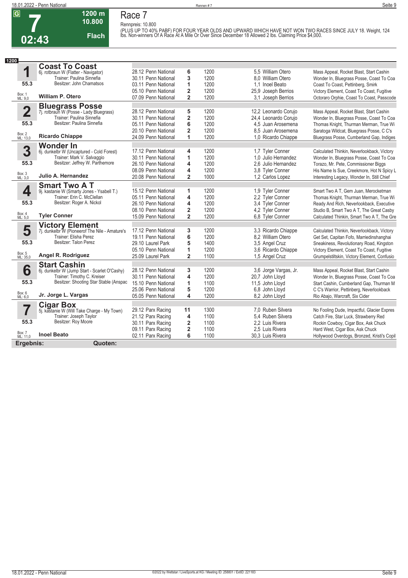

#### **1200 m 10.800 Flach Race 7**

**Rennpreis: 10.800** (PLUS UP TO 40% PABF) FOR FOUR YEAR OLDS AND UPWARD WHICH HAVE NOT WON TWO RACES SINCE JULY 18. Weight, 124<br>Ibs. Non-winners Of A Race At A Mile Or Over Since December 18 Allowed 2 Ibs. Claiming Price \$4,000.

| 1200                    |                                                |                     |                         |      |                       |                                             |
|-------------------------|------------------------------------------------|---------------------|-------------------------|------|-----------------------|---------------------------------------------|
|                         | <b>Coast To Coast</b>                          |                     |                         |      |                       |                                             |
| 1                       | 6j. rotbraun W (Flatter - Navigator)           | 28.12 Penn National | 6                       | 1200 | 5.5 William Otero     | Mass Appeal, Rocket Blast, Start Cashin     |
|                         | Trainer: Paulina Sinnefia                      | 30.11 Penn National | 3                       | 1200 | 8.0 William Otero     | Wonder In, Bluegrass Posse, Coast To Coa    |
| 55.3                    | Besitzer: John Chamatsos                       | 03.11 Penn National | 1                       | 1200 | 1.1 Inoel Beato       | Coast To Coast, Pettinberg, Smirk           |
|                         |                                                | 05.10 Penn National | $\overline{\mathbf{2}}$ | 1200 | 25.9 Joseph Berrios   | Victory Element, Coast To Coast, Fugitive   |
| Box: 1<br>ML: 9,0       | <b>William P. Otero</b>                        | 07.09 Penn National | $\overline{2}$          | 1200 | 3.1 Joseph Berrios    | Octoraro Orphie, Coast To Coast, Passcode   |
|                         | <b>Bluegrass Posse</b>                         |                     |                         |      |                       |                                             |
| $\overline{\mathbf{2}}$ | 7j. rotbraun W (Posse - Lady Bluegrass)        | 28.12 Penn National | 5                       | 1200 | 12,2 Leonardo Corujo  | Mass Appeal, Rocket Blast, Start Cashin     |
|                         | Trainer: Paulina Sinnefia                      | 30.11 Penn National | 2                       | 1200 | 24,4 Leonardo Corujo  | Wonder In, Bluegrass Posse, Coast To Coa    |
| 55.3                    | Besitzer: Paulina Sinnefia                     | 05.11 Penn National | 6                       | 1200 | 4.5 Juan Arosemena    | Thomas Knight, Thurman Merman, True Wi      |
|                         |                                                | 20.10 Penn National | $\overline{\mathbf{2}}$ | 1200 | 8.5 Juan Arosemena    | Saratoga Wildcat, Bluegrass Posse, C C's    |
| Box: 2<br>ML: 13,0      | <b>Ricardo Chiappe</b>                         | 24.09 Penn National | 1                       | 1200 | 1,0 Ricardo Chiappe   | Bluegrass Posse, Cumberland Gap, Indiges    |
|                         | Wonder In                                      |                     |                         |      |                       |                                             |
| 3                       | 6j. dunkelbr W (Uncaptured - Cold Forest)      | 17.12 Penn National | 4                       | 1200 | 1.7 Tyler Conner      | Calculated Thinkin, Neverlookback, Victory  |
|                         | Trainer: Mark V. Salvaggio                     | 30.11 Penn National | 1                       | 1200 | 1.0 Julio Hernandez   | Wonder In, Bluegrass Posse, Coast To Coa    |
| 55.3                    | Besitzer: Jeffrey W. Parthemore                | 26.10 Penn National | 4                       | 1200 | 2.6 Julio Hernandez   | Torazo, Mr. Pete, Commissioner Biggs        |
|                         |                                                | 08.09 Penn National | 4                       | 1200 | 3.8 Tyler Conner      | His Name Is Sue, Creekmore, Hot N Spicy L   |
| Box: 3<br>ML: 3,0       | Julio A. Hernandez                             | 20.08 Penn National | $\overline{2}$          | 1000 | 1.2 Carlos Lopez      | Interesting Legacy, Wonder In, Still Chief  |
|                         | <b>Smart Two A T</b>                           |                     |                         |      |                       |                                             |
| 4                       | 9j. kastanie W (Smarty Jones - Ysabell T.)     | 15.12 Penn National | 1                       | 1200 | 1,9 Tyler Conner      | Smart Two A T. Gem Juan, Merocketman        |
|                         | Trainer: Erin C. McClellan                     | 05.11 Penn National | 4                       | 1200 | 2.2 Tyler Conner      | Thomas Knight, Thurman Merman, True Wi      |
| 55.3                    | Besitzer: Roger A. Nickol                      | 26.10 Penn National | 4                       | 1200 | 3.4 Tyler Conner      | Ready And Rich, Neverlookback, Executive    |
| Box: 4                  |                                                | 08.10 Penn National | $\overline{\mathbf{2}}$ | 1200 | 4.2 Tyler Conner      | Studio B, Smart Two A T, The Great Casby    |
| ML: 5,0                 | <b>Tyler Conner</b>                            | 15.09 Penn National | $\overline{2}$          | 1200 | 6.8 Tyler Conner      | Calculated Thinkin, Smart Two A T, The Gre  |
|                         | <b>Victory Element</b>                         |                     |                         |      |                       |                                             |
| 5                       | 7j. dunkelbr W (Pioneerof The Nile - Amature's | 17.12 Penn National | 3                       | 1200 | 3.3 Ricardo Chiappe   | Calculated Thinkin, Neverlookback, Victory  |
|                         | Trainer: Elisha Perez                          | 19.11 Penn National | 6                       | 1200 | 8,2 William Otero     | Get Set, Capitan Fofo, Marriedinshanghai    |
| 55.3                    | Besitzer: Talon Perez                          | 29.10 Laurel Park   | 5                       | 1400 | 3.5 Angel Cruz        | Sneakiness, Revolutionary Road, Kingston    |
|                         |                                                | 05.10 Penn National | 1                       | 1200 | 3.6 Ricardo Chiappe   | Victory Element, Coast To Coast, Fugitive   |
| Box: 5<br>ML: 35,0      | Angel R. Rodriguez                             | 25.09 Laurel Park   | $\overline{2}$          | 1100 | 1,5 Angel Cruz        | Grumpelstiltskin, Victory Element, Confusio |
|                         | <b>Start Cashin</b>                            |                     |                         |      |                       |                                             |
| 6                       | 6j. dunkelbr W (Jump Start - Scarlet O'Cashy)  | 28.12 Penn National | 3                       | 1200 | 3,6 Jorge Vargas, Jr. | Mass Appeal, Rocket Blast, Start Cashin     |
|                         | Trainer: Timothy C. Kreiser                    | 30.11 Penn National | 4                       | 1200 | 20,7 John Lloyd       | Wonder In, Bluegrass Posse, Coast To Coa    |
| 55.3                    | Besitzer: Shooting Star Stable (Anspac         | 15.10 Penn National | 1                       | 1100 | 11,5 John Lloyd       | Start Cashin, Cumberland Gap, Thurman M     |
| Box: 6                  |                                                | 25.06 Penn National | 5                       | 1200 | 6.8 John Lloyd        | C C's Warrior, Pettinberg, Neverlookback    |
| ML: 6,0                 | Jr. Jorge L. Vargas                            | 05.05 Penn National | 4                       | 1200 | 8,2 John Lloyd        | Rio Abajo, Warcraft, Six Cider              |
| 7                       | <b>Cigar Box</b>                               |                     |                         |      |                       |                                             |
|                         | 5j. kastanie W (Will Take Charge - My Town)    | 29.12 Parx Racing   | 11                      | 1300 | 7.0 Ruben Silvera     | No Fooling Dude, Impactful, Glacier Expres  |
|                         | Trainer: Joseph Taylor                         | 21.12 Parx Racing   | 4                       | 1100 | 5.4 Ruben Silvera     | Catch Fire, Star Luck, Strawberry Red       |
| 55.3                    | Besitzer: Roy Moore                            | 30.11 Parx Racing   | $\overline{\mathbf{2}}$ | 1100 | 2.2 Luis Rivera       | Rockin Cowboy, Cigar Box, Ask Chuck         |
| Box: 7                  |                                                | 09.11 Parx Racing   | $\overline{\mathbf{2}}$ | 1100 | 2,5 Luis Rivera       | Hard West, Cigar Box, Ask Chuck             |
| ML: 11.0                | <b>Inoel Beato</b>                             | 02.11 Parx Racing   | 6                       | 1100 | 30.3 Luis Rivera      | Hollywood Overdogs, Bronzed, Kristi's Copil |
| Ergebnis:               | Quoten:                                        |                     |                         |      |                       |                                             |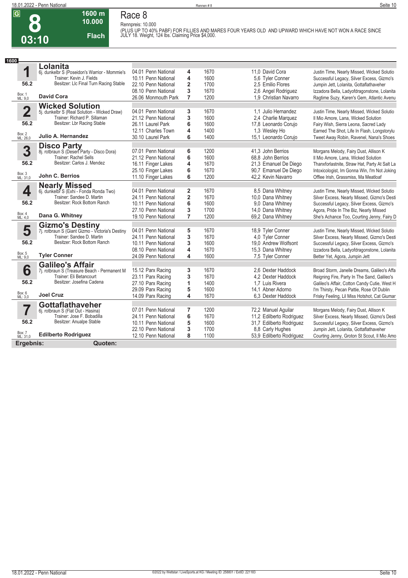**Race 8 Rennpreis: 10.000**



### **1600 m 10.000 Flach**

**(PLUS UP TO 40% PABF) FOR FILLIES AND MARES FOUR YEARS OLD AND UPWARD WHICH HAVE NOT WON A RACE SINCE JULY 18. Weight, 124 lbs. Claiming Price \$4,000.** 

| 1600                    |                                                                  |                     |                         |      |                          |                                               |
|-------------------------|------------------------------------------------------------------|---------------------|-------------------------|------|--------------------------|-----------------------------------------------|
|                         | Lolanita                                                         |                     |                         |      |                          |                                               |
| 1                       | 6j. dunkelbr S (Poseidon's Warrior - Mommie's                    | 04.01 Penn National | 4                       | 1670 | 11.0 David Cora          | Justin Time, Nearly Missed, Wicked Solutio    |
|                         | Trainer: Kevin J. Fields                                         | 10.11 Penn National | 4                       | 1600 | 5.6 Tyler Conner         | Successful Legacy, Silver Excess, Gizmo's     |
| 56.2                    | Besitzer: Llc Final Turn Racing Stable                           | 22.10 Penn National | $\overline{2}$          | 1700 | 2.5 Emilio Flores        | Jumpin Jett, Lolanita, Gottaflathaveher       |
|                         |                                                                  | 08.10 Penn National | 3                       | 1670 | 2,6 Angel Rodriguez      | Izzadora Bella, Ladyofdragonstone, Lolanita   |
| Box: 1<br>ML: 9,0       | <b>David Cora</b>                                                | 26.06 Monmouth Park | $\overline{7}$          | 1200 | 1.9 Christian Navarro    | Ragtime Suzy, Karen's Gem, Atlantic Avenu     |
|                         | <b>Wicked Solution</b>                                           |                     |                         |      |                          |                                               |
| $\overline{\mathbf{2}}$ | 5j. dunkelbr S (Real Solution - Wicked Draw)                     | 04.01 Penn National | 3                       | 1670 | 1.1 Julio Hernandez      | Justin Time, Nearly Missed, Wicked Solutio    |
|                         | Trainer: Richard P. Sillaman                                     | 21.12 Penn National | 3                       | 1600 | 2.4 Charlie Marquez      | Il Mio Amore, Lana, Wicked Solution           |
| 56.2                    | Besitzer: Lbr Racing Stable                                      | 26.11 Laurel Park   | 6                       | 1600 | 17,8 Leonardo Corujo     | Fairy Wish, Sierra Leona, Sacred Lady         |
|                         |                                                                  | 12.11 Charles Town  | 4                       | 1400 | 1,3 Wesley Ho            | Earned The Shot, Life In Flash, Longstorylu   |
| Box: 2<br>ML: 26,0      | Julio A. Hernandez                                               | 30.10 Laurel Park   | 6                       | 1400 | 15,1 Leonardo Corujo     | Tweet Away Robin, Ravenel, Nana's Shoes       |
|                         |                                                                  |                     |                         |      |                          |                                               |
| 3                       | <b>Disco Party</b><br>8j. rotbraun S (Desert Party - Disco Dora) | 07.01 Penn National | 6                       | 1200 | 41.3 John Berrios        | Morgans Melody, Fairy Dust, Allison K         |
|                         | <b>Trainer: Rachel Sells</b>                                     | 21.12 Penn National | 6                       | 1600 | 68.8 John Berrios        | Il Mio Amore, Lana, Wicked Solution           |
| 56.2                    | Besitzer: Carlos J. Mendez                                       | 16.11 Finger Lakes  | 4                       | 1670 | 21,3 Emanuel De Diego    | Thanxforlastnite, Straw Hat, Party At Salt La |
|                         |                                                                  | 25.10 Finger Lakes  | 6                       | 1670 | 90,7 Emanuel De Diego    | Intoxicologist, Im Gonna Win, I'm Not Joking  |
| Box: 3<br>ML: 31,0      | John C. Berrios                                                  | 11.10 Finger Lakes  | 6                       | 1200 | 42.2 Kevin Navarro       | Offlee Irish, Grassmiss, Ma Meatloaf          |
|                         | <b>Nearly Missed</b>                                             |                     |                         |      |                          |                                               |
| 4                       | 6j. dunkelbr S (Exhi - Fonda Ronda Two)                          | 04.01 Penn National | 2                       | 1670 | 8.5 Dana Whitney         | Justin Time, Nearly Missed, Wicked Solutio    |
|                         | Trainer: Sandee D. Martin                                        | 24.11 Penn National | $\overline{\mathbf{2}}$ | 1670 | 10,0 Dana Whitney        | Silver Excess, Nearly Missed, Gizmo's Desti   |
| 56.2                    | Besitzer: Rock Bottom Ranch                                      | 10.11 Penn National | 6                       | 1600 | 9.0 Dana Whitney         | Successful Legacy, Silver Excess, Gizmo's     |
|                         |                                                                  | 27.10 Penn National | 3                       | 1700 | 14,0 Dana Whitney        | Agora, Pride In The Biz, Nearly Missed        |
| Box: 4<br>ML: 4,0       | Dana G. Whitney                                                  | 19.10 Penn National | 7                       | 1200 | 69,2 Dana Whitney        | She's Achance Too, Courting Jenny, Fairy D    |
|                         | <b>Gizmo's Destiny</b>                                           |                     |                         |      |                          |                                               |
| 5                       | 7j. rotbraun S (Giant Gizmo - Victoria's Destiny                 | 04.01 Penn National | 5                       | 1670 | 18,9 Tyler Conner        | Justin Time, Nearly Missed, Wicked Solutio    |
|                         | Trainer: Sandee D. Martin                                        | 24.11 Penn National | 3                       | 1670 | 4.0 Tyler Conner         | Silver Excess, Nearly Missed, Gizmo's Desti   |
| 56.2                    | Besitzer: Rock Bottom Ranch                                      | 10.11 Penn National | 3                       | 1600 | 19,0 Andrew Wolfsont     | Successful Legacy, Silver Excess, Gizmo's     |
|                         |                                                                  | 08.10 Penn National | 4                       | 1670 | 15,3 Dana Whitney        | Izzadora Bella, Ladyofdragonstone, Lolanita   |
| Box: 5<br>ML: 9,0       | <b>Tyler Conner</b>                                              | 24.09 Penn National | 4                       | 1600 | 7,5 Tyler Conner         | Better Yet, Agora, Jumpin Jett                |
|                         | <b>Galileo's Affair</b>                                          |                     |                         |      |                          |                                               |
| 6                       | 7j. rotbraun S (Treasure Beach - Permanent M                     | 15.12 Parx Racing   | 3                       | 1670 | 2.6 Dexter Haddock       | Broad Storm, Janelle Dreams, Galileo's Affa   |
|                         | Trainer: Eli Betancourt                                          | 23.11 Parx Racing   | 3                       | 1670 | 4.2 Dexter Haddock       | Reigning Fire, Party In The Sand, Galileo's   |
| 56.2                    | Besitzer: Josefina Cadena                                        | 27.10 Parx Racing   | 1                       | 1400 | 1.7 Luis Rivera          | Galileo's Affair, Cotton Candy Cutie, West H  |
|                         |                                                                  | 29.09 Parx Racing   | 5                       | 1600 | 14,1 Abner Adorno        | I'm Thirsty, Pecan Pattie, Rose Of Dublin     |
| Box: 6<br>ML: 3,0       | <b>Joel Cruz</b>                                                 | 14.09 Parx Racing   | 4                       | 1670 | 6.3 Dexter Haddock       | Frisky Feeling, Lil Miss Hotshot, Cat Giumar  |
|                         | <b>Gottaflathaveher</b>                                          |                     |                         |      |                          |                                               |
| 7                       | 6j. rotbraun S (Flat Out - Hasina)                               | 07.01 Penn National | 7                       | 1200 | 72,2 Manuel Aguilar      | Morgans Melody, Fairy Dust, Allison K         |
|                         | Trainer: Jose F. Bobadilla                                       | 24.11 Penn National | 6                       | 1670 | 11,2 Edilberto Rodriguez | Silver Excess, Nearly Missed, Gizmo's Desti   |
| 56.2                    | Besitzer: Anualpe Stable                                         | 10.11 Penn National | 5                       | 1600 | 31,7 Edilberto Rodriguez | Successful Legacy, Silver Excess, Gizmo's     |
|                         |                                                                  | 22.10 Penn National | 3                       | 1700 | 8.8 Carly Hughes         | Jumpin Jett, Lolanita, Gottaflathaveher       |
| Box: 7<br>ML: 31,0      | <b>Edilberto Rodriguez</b>                                       | 12.10 Penn National | 8                       | 1100 | 53,9 Edilberto Rodriguez | Courting Jenny, Groton St Scout, Il Mio Amo   |
| Ergebnis:               | Quoten:                                                          |                     |                         |      |                          |                                               |